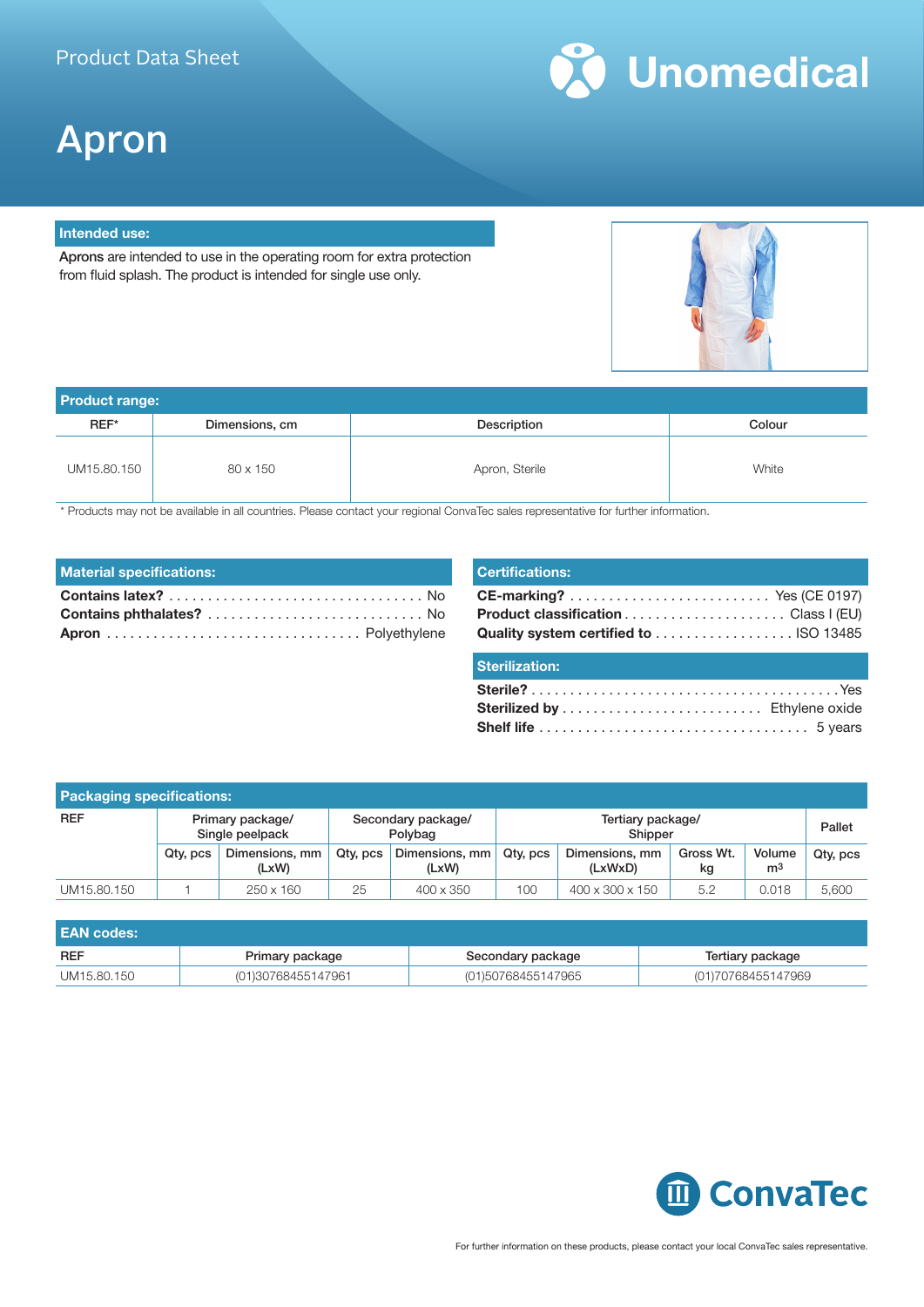

# Apron

### **Intended use:**

Aprons are intended to use in the operating room for extra protection from fluid splash. The product is intended for single use only.



| <b>Product range:</b> |                |                |        |  |
|-----------------------|----------------|----------------|--------|--|
| REF*                  | Dimensions, cm | Description    | Colour |  |
| UM15.80.150           | 80 x 150       | Apron, Sterile | White  |  |

\* Products may not be available in all countries. Please contact your regional ConvaTec sales representative for further information.

| <b>Material specifications:</b> |  |
|---------------------------------|--|
|                                 |  |
|                                 |  |
|                                 |  |

| <b>Certifications:</b> |  |
|------------------------|--|
|                        |  |
| <b>Sterilization:</b>  |  |
|                        |  |

| <b>Packaging specifications:</b> |                                     |                         |                               |                         |                              |                           |                 |                          |          |
|----------------------------------|-------------------------------------|-------------------------|-------------------------------|-------------------------|------------------------------|---------------------------|-----------------|--------------------------|----------|
| <b>REF</b>                       | Primary package/<br>Single peelpack |                         | Secondary package/<br>Polybag |                         | Tertiary package/<br>Shipper |                           |                 | Pallet                   |          |
|                                  | Qty, pcs                            | Dimensions, mm<br>(LxW) | Qty, pcs                      | Dimensions, mm<br>(LxW) | Qty, pcs                     | Dimensions, mm<br>(LxWxD) | Gross Wt.<br>kg | Volume<br>m <sup>3</sup> | Qty, pcs |
| UM15.80.150                      |                                     | 250 x 160               | 25                            | 400 x 350               | 100                          | 400 x 300 x 150           | 5.2             | 0.018                    | 5,600    |

| l EAN codes: |                    |                    |                    |
|--------------|--------------------|--------------------|--------------------|
| <b>REF</b>   | Primary package    | Secondary package  | Tertiary package   |
| UM15.80.150  | (01)30768455147961 | (01)50768455147965 | (01)70768455147969 |